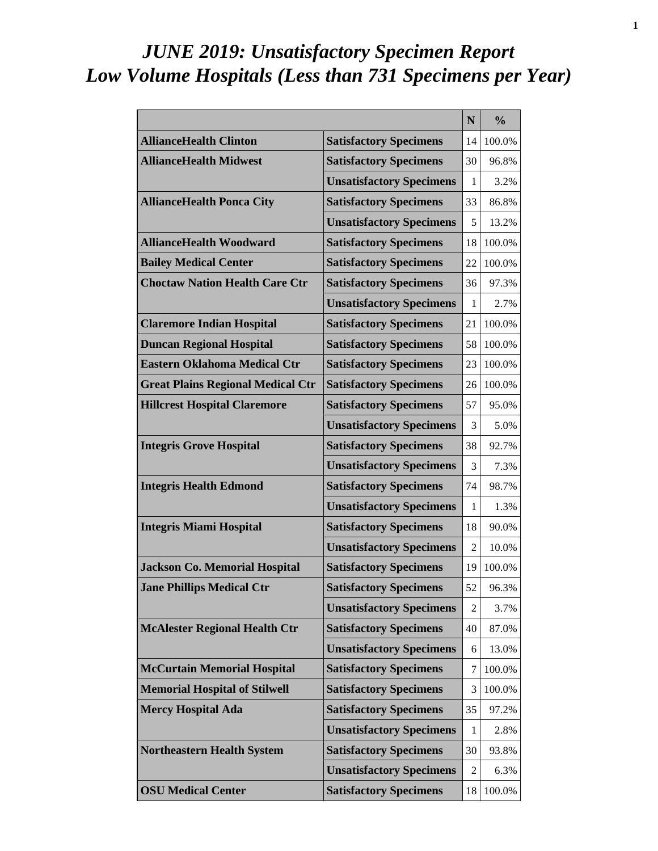# *JUNE 2019: Unsatisfactory Specimen Report Low Volume Hospitals (Less than 731 Specimens per Year)*

|                                          |                                 | N              | $\frac{0}{0}$ |
|------------------------------------------|---------------------------------|----------------|---------------|
| <b>AllianceHealth Clinton</b>            | <b>Satisfactory Specimens</b>   | 14             | 100.0%        |
| <b>AllianceHealth Midwest</b>            | <b>Satisfactory Specimens</b>   | 30             | 96.8%         |
|                                          | <b>Unsatisfactory Specimens</b> | 1              | 3.2%          |
| <b>AllianceHealth Ponca City</b>         | <b>Satisfactory Specimens</b>   | 33             | 86.8%         |
|                                          | <b>Unsatisfactory Specimens</b> | 5              | 13.2%         |
| <b>AllianceHealth Woodward</b>           | <b>Satisfactory Specimens</b>   | 18             | 100.0%        |
| <b>Bailey Medical Center</b>             | <b>Satisfactory Specimens</b>   | 22             | 100.0%        |
| <b>Choctaw Nation Health Care Ctr</b>    | <b>Satisfactory Specimens</b>   | 36             | 97.3%         |
|                                          | <b>Unsatisfactory Specimens</b> | 1              | 2.7%          |
| <b>Claremore Indian Hospital</b>         | <b>Satisfactory Specimens</b>   | 21             | 100.0%        |
| <b>Duncan Regional Hospital</b>          | <b>Satisfactory Specimens</b>   | 58             | 100.0%        |
| <b>Eastern Oklahoma Medical Ctr</b>      | <b>Satisfactory Specimens</b>   | 23             | 100.0%        |
| <b>Great Plains Regional Medical Ctr</b> | <b>Satisfactory Specimens</b>   | 26             | 100.0%        |
| <b>Hillcrest Hospital Claremore</b>      | <b>Satisfactory Specimens</b>   | 57             | 95.0%         |
|                                          | <b>Unsatisfactory Specimens</b> | 3              | 5.0%          |
| <b>Integris Grove Hospital</b>           | <b>Satisfactory Specimens</b>   | 38             | 92.7%         |
|                                          | <b>Unsatisfactory Specimens</b> | 3              | 7.3%          |
| <b>Integris Health Edmond</b>            | <b>Satisfactory Specimens</b>   | 74             | 98.7%         |
|                                          | <b>Unsatisfactory Specimens</b> | 1              | 1.3%          |
| <b>Integris Miami Hospital</b>           | <b>Satisfactory Specimens</b>   | 18             | 90.0%         |
|                                          | <b>Unsatisfactory Specimens</b> | $\overline{2}$ | 10.0%         |
| <b>Jackson Co. Memorial Hospital</b>     | <b>Satisfactory Specimens</b>   | 19             | 100.0%        |
| <b>Jane Phillips Medical Ctr</b>         | <b>Satisfactory Specimens</b>   | 52             | 96.3%         |
|                                          | <b>Unsatisfactory Specimens</b> | 2              | 3.7%          |
| <b>McAlester Regional Health Ctr</b>     | <b>Satisfactory Specimens</b>   | 40             | 87.0%         |
|                                          | <b>Unsatisfactory Specimens</b> | 6              | 13.0%         |
| <b>McCurtain Memorial Hospital</b>       | <b>Satisfactory Specimens</b>   | 7              | 100.0%        |
| <b>Memorial Hospital of Stilwell</b>     | <b>Satisfactory Specimens</b>   | 3              | 100.0%        |
| <b>Mercy Hospital Ada</b>                | <b>Satisfactory Specimens</b>   | 35             | 97.2%         |
|                                          | <b>Unsatisfactory Specimens</b> | 1              | 2.8%          |
| <b>Northeastern Health System</b>        | <b>Satisfactory Specimens</b>   | 30             | 93.8%         |
|                                          | <b>Unsatisfactory Specimens</b> | 2              | 6.3%          |
| <b>OSU Medical Center</b>                | <b>Satisfactory Specimens</b>   | 18             | 100.0%        |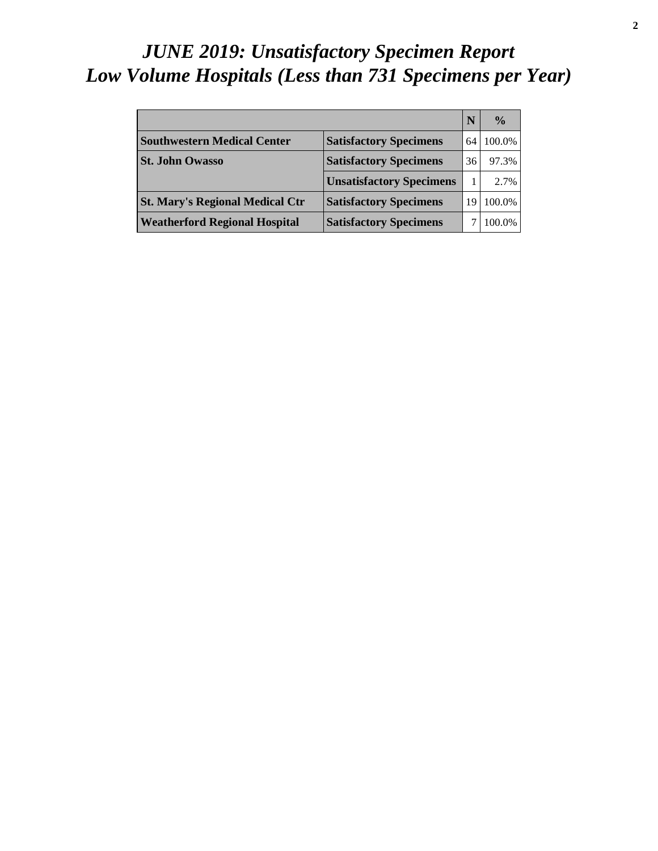# *JUNE 2019: Unsatisfactory Specimen Report Low Volume Hospitals (Less than 731 Specimens per Year)*

|                                        |                                 | N  | $\frac{0}{0}$ |
|----------------------------------------|---------------------------------|----|---------------|
| <b>Southwestern Medical Center</b>     | <b>Satisfactory Specimens</b>   | 64 | 100.0%        |
| <b>St. John Owasso</b>                 | <b>Satisfactory Specimens</b>   | 36 | 97.3%         |
|                                        | <b>Unsatisfactory Specimens</b> |    | 2.7%          |
| <b>St. Mary's Regional Medical Ctr</b> | <b>Satisfactory Specimens</b>   | 19 | 100.0%        |
| <b>Weatherford Regional Hospital</b>   | <b>Satisfactory Specimens</b>   |    | 100.0%        |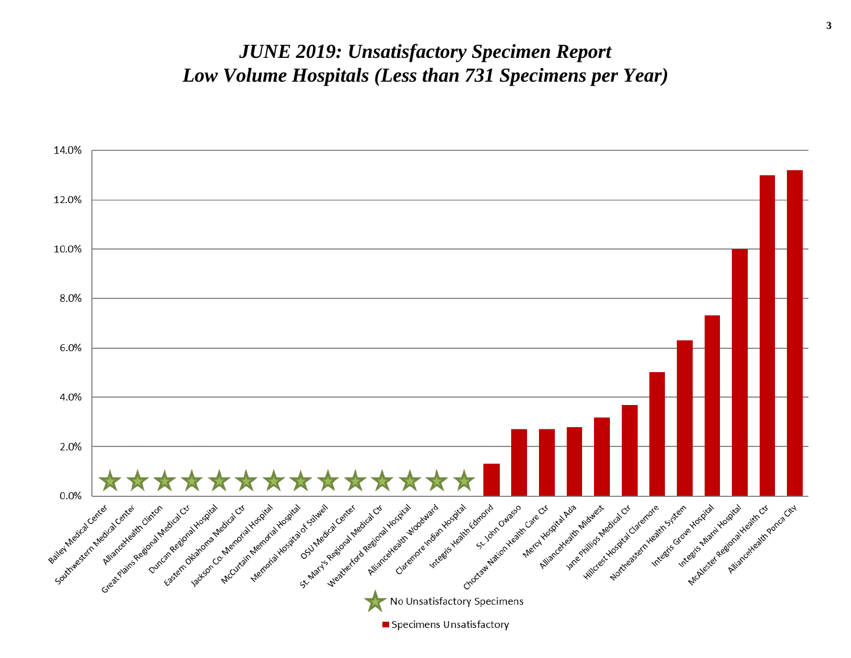#### *JUNE 2019: Unsatisfactory Specimen Report Low Volume Hospitals (Less than 731 Specimens per Year)*

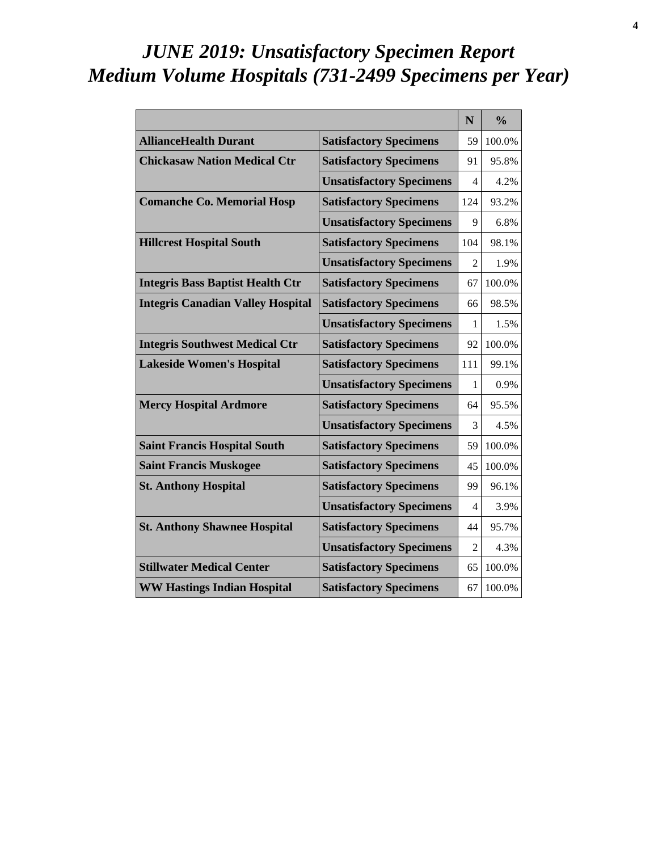# *JUNE 2019: Unsatisfactory Specimen Report Medium Volume Hospitals (731-2499 Specimens per Year)*

|                                          |                                 | N                        | $\frac{0}{0}$ |
|------------------------------------------|---------------------------------|--------------------------|---------------|
| <b>AllianceHealth Durant</b>             | <b>Satisfactory Specimens</b>   | 59                       | 100.0%        |
| <b>Chickasaw Nation Medical Ctr</b>      | <b>Satisfactory Specimens</b>   | 91                       | 95.8%         |
|                                          | <b>Unsatisfactory Specimens</b> | 4                        | 4.2%          |
| <b>Comanche Co. Memorial Hosp</b>        | <b>Satisfactory Specimens</b>   | 124                      | 93.2%         |
|                                          | <b>Unsatisfactory Specimens</b> | 9                        | 6.8%          |
| <b>Hillcrest Hospital South</b>          | <b>Satisfactory Specimens</b>   | 104                      | 98.1%         |
|                                          | <b>Unsatisfactory Specimens</b> | $\mathfrak{D}$           | 1.9%          |
| <b>Integris Bass Baptist Health Ctr</b>  | <b>Satisfactory Specimens</b>   | 67                       | 100.0%        |
| <b>Integris Canadian Valley Hospital</b> | <b>Satisfactory Specimens</b>   | 66                       | 98.5%         |
|                                          | <b>Unsatisfactory Specimens</b> | 1                        | 1.5%          |
| <b>Integris Southwest Medical Ctr</b>    | <b>Satisfactory Specimens</b>   | 92                       | 100.0%        |
| <b>Lakeside Women's Hospital</b>         | <b>Satisfactory Specimens</b>   | 111                      | 99.1%         |
|                                          | <b>Unsatisfactory Specimens</b> | 1                        | 0.9%          |
| <b>Mercy Hospital Ardmore</b>            | <b>Satisfactory Specimens</b>   | 64                       | 95.5%         |
|                                          | <b>Unsatisfactory Specimens</b> | 3                        | 4.5%          |
| <b>Saint Francis Hospital South</b>      | <b>Satisfactory Specimens</b>   | 59                       | 100.0%        |
| <b>Saint Francis Muskogee</b>            | <b>Satisfactory Specimens</b>   | 45                       | 100.0%        |
| <b>St. Anthony Hospital</b>              | <b>Satisfactory Specimens</b>   | 99                       | 96.1%         |
|                                          | <b>Unsatisfactory Specimens</b> | $\overline{\mathcal{A}}$ | 3.9%          |
| <b>St. Anthony Shawnee Hospital</b>      | <b>Satisfactory Specimens</b>   | 44                       | 95.7%         |
|                                          | <b>Unsatisfactory Specimens</b> | $\mathfrak{D}$           | 4.3%          |
| <b>Stillwater Medical Center</b>         | <b>Satisfactory Specimens</b>   | 65                       | 100.0%        |
| <b>WW Hastings Indian Hospital</b>       | <b>Satisfactory Specimens</b>   | 67                       | 100.0%        |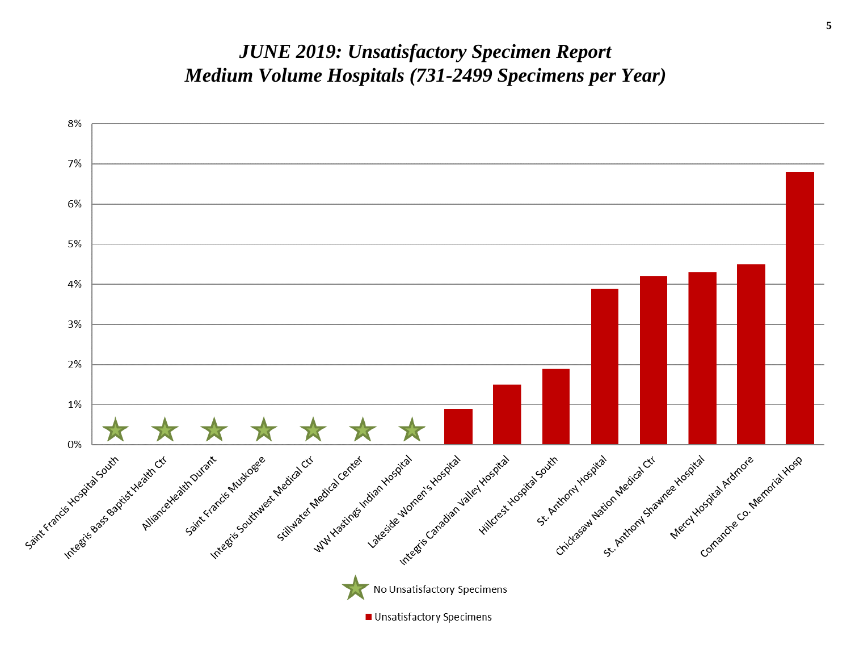#### *JUNE 2019: Unsatisfactory Specimen Report Medium Volume Hospitals (731-2499 Specimens per Year)*

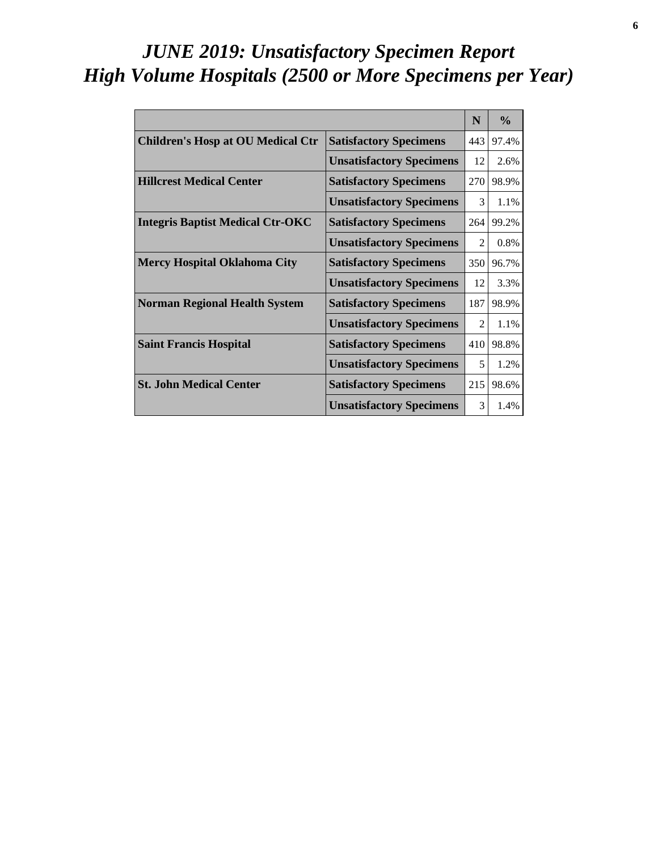# *JUNE 2019: Unsatisfactory Specimen Report High Volume Hospitals (2500 or More Specimens per Year)*

|                                          |                                 | N                           | $\frac{0}{0}$ |
|------------------------------------------|---------------------------------|-----------------------------|---------------|
| <b>Children's Hosp at OU Medical Ctr</b> | <b>Satisfactory Specimens</b>   | 443                         | 97.4%         |
|                                          | <b>Unsatisfactory Specimens</b> | 12                          | 2.6%          |
| <b>Hillcrest Medical Center</b>          | <b>Satisfactory Specimens</b>   | 270                         | 98.9%         |
|                                          | <b>Unsatisfactory Specimens</b> | $\mathcal{R}$               | 1.1%          |
| <b>Integris Baptist Medical Ctr-OKC</b>  | <b>Satisfactory Specimens</b>   | 264                         | 99.2%         |
|                                          | <b>Unsatisfactory Specimens</b> | $\mathcal{D}_{\mathcal{L}}$ | 0.8%          |
| <b>Mercy Hospital Oklahoma City</b>      | <b>Satisfactory Specimens</b>   | 350                         | 96.7%         |
|                                          | <b>Unsatisfactory Specimens</b> | 12                          | 3.3%          |
| <b>Norman Regional Health System</b>     | <b>Satisfactory Specimens</b>   | 187                         | 98.9%         |
|                                          | <b>Unsatisfactory Specimens</b> | $\mathcal{D}_{\mathcal{L}}$ | 1.1%          |
| <b>Saint Francis Hospital</b>            | <b>Satisfactory Specimens</b>   | 410                         | 98.8%         |
|                                          | <b>Unsatisfactory Specimens</b> | 5                           | 1.2%          |
| <b>St. John Medical Center</b>           | <b>Satisfactory Specimens</b>   | 215                         | 98.6%         |
|                                          | <b>Unsatisfactory Specimens</b> | 3                           | 1.4%          |